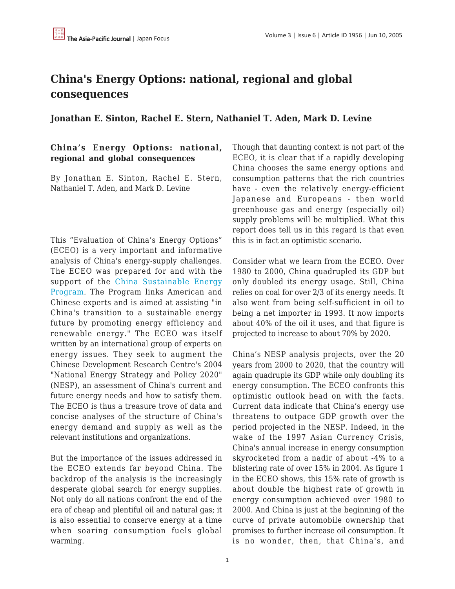## **China's Energy Options: national, regional and global consequences**

**Jonathan E. Sinton, Rachel E. Stern, Nathaniel T. Aden, Mark D. Levine**

## **China's Energy Options: national, regional and global consequences**

By Jonathan E. Sinton, Rachel E. Stern, Nathaniel T. Aden, and Mark D. Levine

This "Evaluation of China's Energy Options" (ECEO) is a very important and informative analysis of China's energy-supply challenges. The ECEO was prepared for and with the support of the [China Sustainable Energy](http://www.efchina.org/) [Program.](http://www.efchina.org/) The Program links American and Chinese experts and is aimed at assisting "in China's transition to a sustainable energy future by promoting energy efficiency and renewable energy." The ECEO was itself written by an international group of experts on energy issues. They seek to augment the Chinese Development Research Centre's 2004 "National Energy Strategy and Policy 2020" (NESP), an assessment of China's current and future energy needs and how to satisfy them. The ECEO is thus a treasure trove of data and concise analyses of the structure of China's energy demand and supply as well as the relevant institutions and organizations.

But the importance of the issues addressed in the ECEO extends far beyond China. The backdrop of the analysis is the increasingly desperate global search for energy supplies. Not only do all nations confront the end of the era of cheap and plentiful oil and natural gas; it is also essential to conserve energy at a time when soaring consumption fuels global warming.

Though that daunting context is not part of the ECEO, it is clear that if a rapidly developing China chooses the same energy options and consumption patterns that the rich countries have - even the relatively energy-efficient Japanese and Europeans - then world greenhouse gas and energy (especially oil) supply problems will be multiplied. What this report does tell us in this regard is that even this is in fact an optimistic scenario.

Consider what we learn from the ECEO. Over 1980 to 2000, China quadrupled its GDP but only doubled its energy usage. Still, China relies on coal for over 2/3 of its energy needs. It also went from being self-sufficient in oil to being a net importer in 1993. It now imports about 40% of the oil it uses, and that figure is projected to increase to about 70% by 2020.

China's NESP analysis projects, over the 20 years from 2000 to 2020, that the country will again quadruple its GDP while only doubling its energy consumption. The ECEO confronts this optimistic outlook head on with the facts. Current data indicate that China's energy use threatens to outpace GDP growth over the period projected in the NESP. Indeed, in the wake of the 1997 Asian Currency Crisis, China's annual increase in energy consumption skyrocketed from a nadir of about -4% to a blistering rate of over 15% in 2004. As figure 1 in the ECEO shows, this 15% rate of growth is about double the highest rate of growth in energy consumption achieved over 1980 to 2000. And China is just at the beginning of the curve of private automobile ownership that promises to further increase oil consumption. It is no wonder, then, that China's, and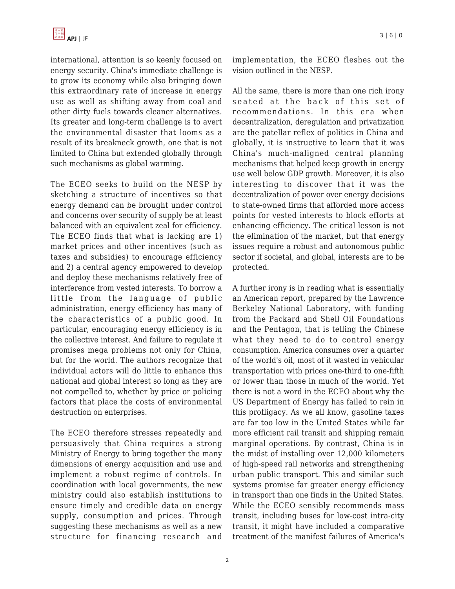international, attention is so keenly focused on energy security. China's immediate challenge is to grow its economy while also bringing down this extraordinary rate of increase in energy use as well as shifting away from coal and other dirty fuels towards cleaner alternatives. Its greater and long-term challenge is to avert the environmental disaster that looms as a result of its breakneck growth, one that is not limited to China but extended globally through such mechanisms as global warming.

The ECEO seeks to build on the NESP by sketching a structure of incentives so that energy demand can be brought under control and concerns over security of supply be at least balanced with an equivalent zeal for efficiency. The ECEO finds that what is lacking are 1) market prices and other incentives (such as taxes and subsidies) to encourage efficiency and 2) a central agency empowered to develop and deploy these mechanisms relatively free of interference from vested interests. To borrow a little from the language of public administration, energy efficiency has many of the characteristics of a public good. In particular, encouraging energy efficiency is in the collective interest. And failure to regulate it promises mega problems not only for China, but for the world. The authors recognize that individual actors will do little to enhance this national and global interest so long as they are not compelled to, whether by price or policing factors that place the costs of environmental destruction on enterprises.

The ECEO therefore stresses repeatedly and persuasively that China requires a strong Ministry of Energy to bring together the many dimensions of energy acquisition and use and implement a robust regime of controls. In coordination with local governments, the new ministry could also establish institutions to ensure timely and credible data on energy supply, consumption and prices. Through suggesting these mechanisms as well as a new structure for financing research and

implementation, the ECEO fleshes out the vision outlined in the NESP.

All the same, there is more than one rich irony seated at the back of this set of recommendations. In this era when decentralization, deregulation and privatization are the patellar reflex of politics in China and globally, it is instructive to learn that it was China's much-maligned central planning mechanisms that helped keep growth in energy use well below GDP growth. Moreover, it is also interesting to discover that it was the decentralization of power over energy decisions to state-owned firms that afforded more access points for vested interests to block efforts at enhancing efficiency. The critical lesson is not the elimination of the market, but that energy issues require a robust and autonomous public sector if societal, and global, interests are to be protected.

A further irony is in reading what is essentially an American report, prepared by the Lawrence Berkeley National Laboratory, with funding from the Packard and Shell Oil Foundations and the Pentagon, that is telling the Chinese what they need to do to control energy consumption. America consumes over a quarter of the world's oil, most of it wasted in vehicular transportation with prices one-third to one-fifth or lower than those in much of the world. Yet there is not a word in the ECEO about why the US Department of Energy has failed to rein in this profligacy. As we all know, gasoline taxes are far too low in the United States while far more efficient rail transit and shipping remain marginal operations. By contrast, China is in the midst of installing over 12,000 kilometers of high-speed rail networks and strengthening urban public transport. This and similar such systems promise far greater energy efficiency in transport than one finds in the United States. While the ECEO sensibly recommends mass transit, including buses for low-cost intra-city transit, it might have included a comparative treatment of the manifest failures of America's